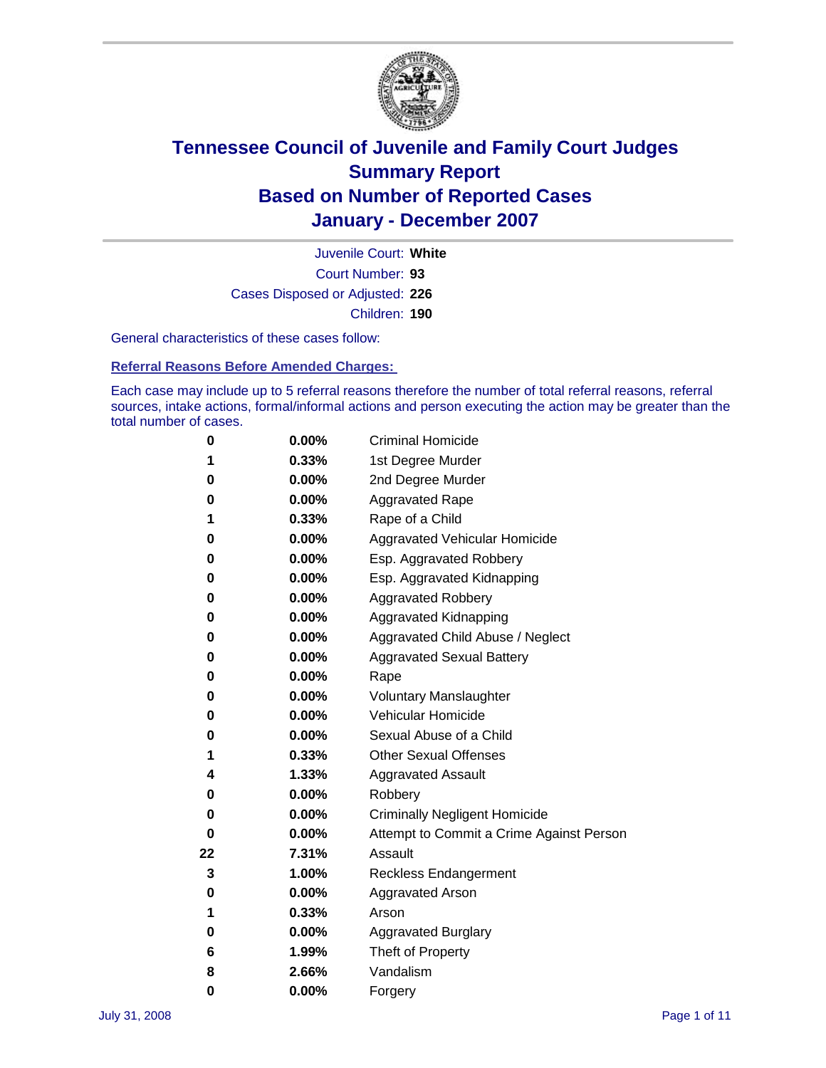

Court Number: **93** Juvenile Court: **White** Cases Disposed or Adjusted: **226** Children: **190**

General characteristics of these cases follow:

**Referral Reasons Before Amended Charges:** 

Each case may include up to 5 referral reasons therefore the number of total referral reasons, referral sources, intake actions, formal/informal actions and person executing the action may be greater than the total number of cases.

| 0  | 0.00%    | <b>Criminal Homicide</b>                 |
|----|----------|------------------------------------------|
| 1  | 0.33%    | 1st Degree Murder                        |
| 0  | $0.00\%$ | 2nd Degree Murder                        |
| 0  | 0.00%    | <b>Aggravated Rape</b>                   |
| 1  | 0.33%    | Rape of a Child                          |
| 0  | 0.00%    | Aggravated Vehicular Homicide            |
| 0  | 0.00%    | Esp. Aggravated Robbery                  |
| 0  | 0.00%    | Esp. Aggravated Kidnapping               |
| 0  | 0.00%    | <b>Aggravated Robbery</b>                |
| 0  | $0.00\%$ | Aggravated Kidnapping                    |
| 0  | 0.00%    | Aggravated Child Abuse / Neglect         |
| 0  | $0.00\%$ | <b>Aggravated Sexual Battery</b>         |
| 0  | 0.00%    | Rape                                     |
| 0  | 0.00%    | <b>Voluntary Manslaughter</b>            |
| 0  | 0.00%    | Vehicular Homicide                       |
| 0  | 0.00%    | Sexual Abuse of a Child                  |
| 1  | 0.33%    | <b>Other Sexual Offenses</b>             |
| 4  | 1.33%    | <b>Aggravated Assault</b>                |
| 0  | $0.00\%$ | Robbery                                  |
| 0  | 0.00%    | <b>Criminally Negligent Homicide</b>     |
| 0  | 0.00%    | Attempt to Commit a Crime Against Person |
| 22 | 7.31%    | Assault                                  |
| 3  | 1.00%    | <b>Reckless Endangerment</b>             |
| 0  | $0.00\%$ | Aggravated Arson                         |
| 1  | 0.33%    | Arson                                    |
| 0  | 0.00%    | <b>Aggravated Burglary</b>               |
| 6  | 1.99%    | Theft of Property                        |
| 8  | 2.66%    | Vandalism                                |
| 0  | 0.00%    | Forgery                                  |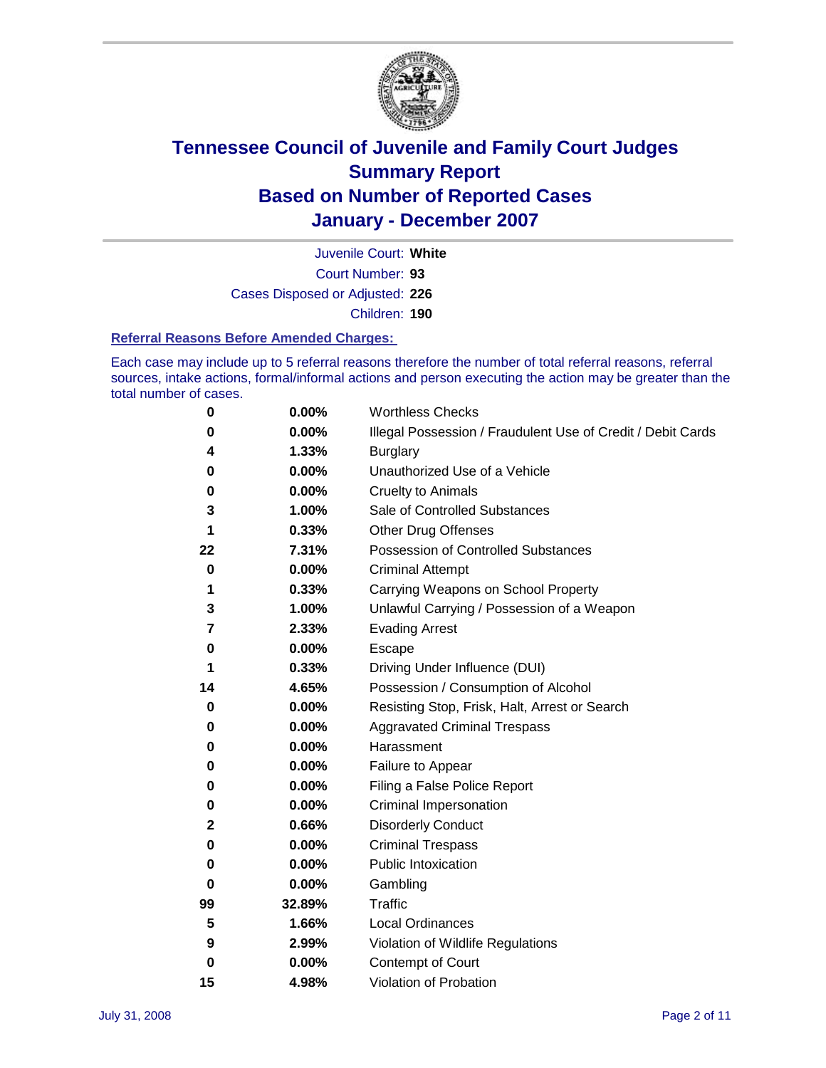

Court Number: **93** Juvenile Court: **White** Cases Disposed or Adjusted: **226** Children: **190**

#### **Referral Reasons Before Amended Charges:**

Each case may include up to 5 referral reasons therefore the number of total referral reasons, referral sources, intake actions, formal/informal actions and person executing the action may be greater than the total number of cases.

| 0           | 0.00%    | <b>Worthless Checks</b>                                     |
|-------------|----------|-------------------------------------------------------------|
| 0           | 0.00%    | Illegal Possession / Fraudulent Use of Credit / Debit Cards |
| 4           | 1.33%    | <b>Burglary</b>                                             |
| 0           | 0.00%    | Unauthorized Use of a Vehicle                               |
| 0           | 0.00%    | <b>Cruelty to Animals</b>                                   |
| 3           | 1.00%    | Sale of Controlled Substances                               |
| 1           | 0.33%    | <b>Other Drug Offenses</b>                                  |
| 22          | 7.31%    | <b>Possession of Controlled Substances</b>                  |
| $\bf{0}$    | 0.00%    | <b>Criminal Attempt</b>                                     |
| 1           | 0.33%    | Carrying Weapons on School Property                         |
| 3           | 1.00%    | Unlawful Carrying / Possession of a Weapon                  |
| 7           | 2.33%    | <b>Evading Arrest</b>                                       |
| 0           | 0.00%    | Escape                                                      |
| 1           | 0.33%    | Driving Under Influence (DUI)                               |
| 14          | 4.65%    | Possession / Consumption of Alcohol                         |
| 0           | 0.00%    | Resisting Stop, Frisk, Halt, Arrest or Search               |
| 0           | 0.00%    | <b>Aggravated Criminal Trespass</b>                         |
| 0           | 0.00%    | Harassment                                                  |
| 0           | 0.00%    | Failure to Appear                                           |
| 0           | 0.00%    | Filing a False Police Report                                |
| 0           | 0.00%    | Criminal Impersonation                                      |
| 2           | 0.66%    | <b>Disorderly Conduct</b>                                   |
| 0           | 0.00%    | <b>Criminal Trespass</b>                                    |
| 0           | 0.00%    | <b>Public Intoxication</b>                                  |
| 0           | 0.00%    | Gambling                                                    |
| 99          | 32.89%   | Traffic                                                     |
| 5           | 1.66%    | <b>Local Ordinances</b>                                     |
| 9           | 2.99%    | Violation of Wildlife Regulations                           |
| $\mathbf 0$ | $0.00\%$ | Contempt of Court                                           |
| 15          | 4.98%    | Violation of Probation                                      |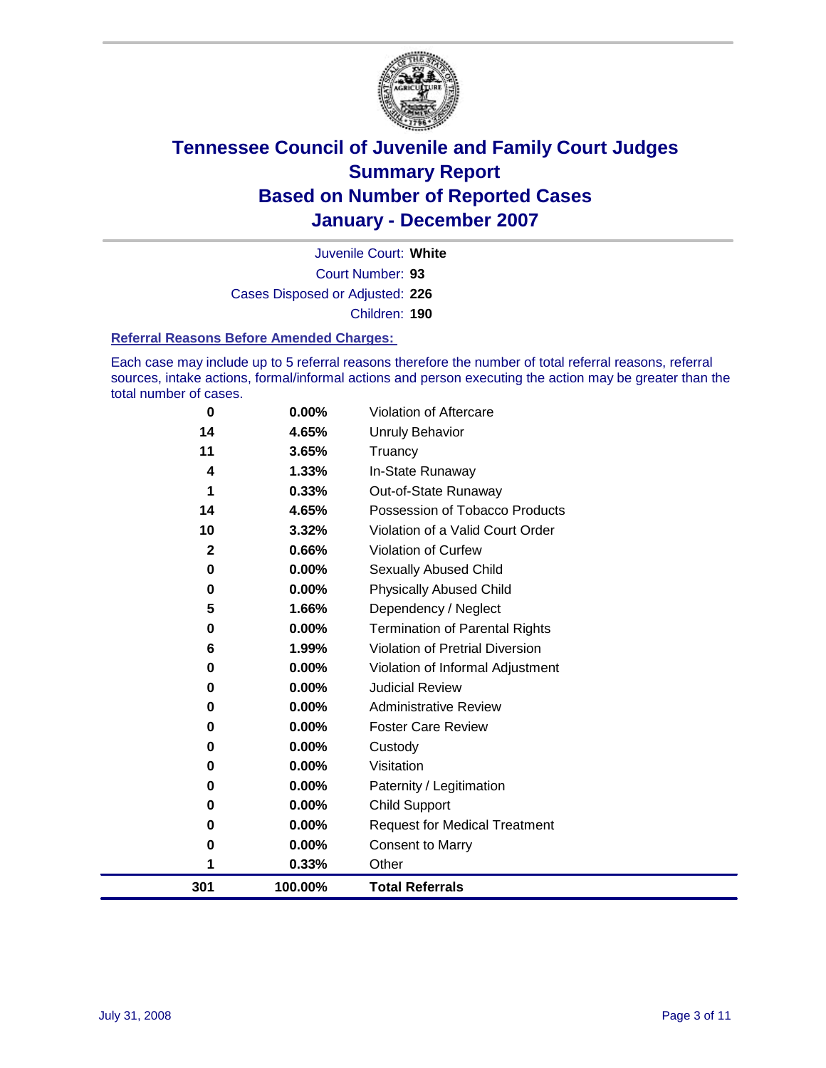

Court Number: **93** Juvenile Court: **White** Cases Disposed or Adjusted: **226** Children: **190**

#### **Referral Reasons Before Amended Charges:**

Each case may include up to 5 referral reasons therefore the number of total referral reasons, referral sources, intake actions, formal/informal actions and person executing the action may be greater than the total number of cases.

| 301          | 100.00%  | <b>Total Referrals</b>                |
|--------------|----------|---------------------------------------|
| 1            | 0.33%    | Other                                 |
| 0            | 0.00%    | <b>Consent to Marry</b>               |
| 0            | 0.00%    | <b>Request for Medical Treatment</b>  |
| 0            | $0.00\%$ | <b>Child Support</b>                  |
| 0            | $0.00\%$ | Paternity / Legitimation              |
| 0            | $0.00\%$ | Visitation                            |
| 0            | $0.00\%$ | Custody                               |
| 0            | 0.00%    | <b>Foster Care Review</b>             |
| 0            | $0.00\%$ | <b>Administrative Review</b>          |
| 0            | $0.00\%$ | <b>Judicial Review</b>                |
| 0            | 0.00%    | Violation of Informal Adjustment      |
| 6            | 1.99%    | Violation of Pretrial Diversion       |
| 0            | $0.00\%$ | <b>Termination of Parental Rights</b> |
| 5            | 1.66%    | Dependency / Neglect                  |
| 0            | $0.00\%$ | <b>Physically Abused Child</b>        |
| 0            | 0.00%    | <b>Sexually Abused Child</b>          |
| $\mathbf{2}$ | 0.66%    | Violation of Curfew                   |
| 10           | 3.32%    | Violation of a Valid Court Order      |
| 14           | 4.65%    | Possession of Tobacco Products        |
| 1            | 0.33%    | Out-of-State Runaway                  |
| 4            | 1.33%    | In-State Runaway                      |
| 11           | 3.65%    | Truancy                               |
| 14           | 4.65%    | <b>Unruly Behavior</b>                |
| 0            | 0.00%    | Violation of Aftercare                |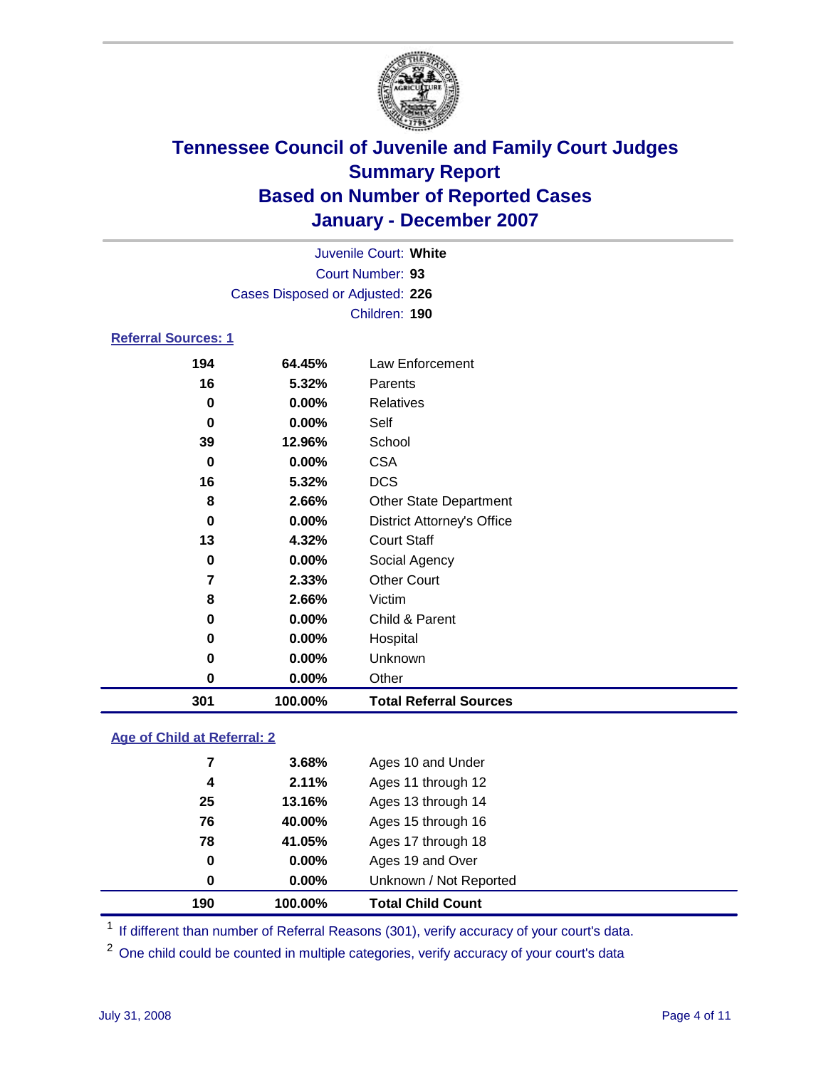

|                            |                                 | Juvenile Court: White |  |  |  |  |  |
|----------------------------|---------------------------------|-----------------------|--|--|--|--|--|
| Court Number: 93           |                                 |                       |  |  |  |  |  |
|                            | Cases Disposed or Adjusted: 226 |                       |  |  |  |  |  |
|                            |                                 | Children: 190         |  |  |  |  |  |
| <b>Referral Sources: 1</b> |                                 |                       |  |  |  |  |  |
| 194                        | 64.45%                          | Law Enforcement       |  |  |  |  |  |
| 16                         | 5.32%                           | Parents               |  |  |  |  |  |
| 0                          | $0.00\%$                        | <b>Relatives</b>      |  |  |  |  |  |
| 0                          | $0.00\%$                        | Self                  |  |  |  |  |  |

| 301         | 100.00% | <b>Total Referral Sources</b>     |
|-------------|---------|-----------------------------------|
| 0           | 0.00%   | Other                             |
| 0           | 0.00%   | Unknown                           |
| $\mathbf 0$ | 0.00%   | Hospital                          |
| 0           | 0.00%   | Child & Parent                    |
| 8           | 2.66%   | Victim                            |
| 7           | 2.33%   | <b>Other Court</b>                |
| 0           | 0.00%   | Social Agency                     |
| 13          | 4.32%   | <b>Court Staff</b>                |
| 0           | 0.00%   | <b>District Attorney's Office</b> |
| 8           | 2.66%   | <b>Other State Department</b>     |
| 16          | 5.32%   | <b>DCS</b>                        |
| 0           | 0.00%   | <b>CSA</b>                        |
| 39          | 12.96%  | School                            |

#### **Age of Child at Referral: 2**

| 190      | 100.00%  | <b>Total Child Count</b> |  |
|----------|----------|--------------------------|--|
| 0        | $0.00\%$ | Unknown / Not Reported   |  |
| $\bf{0}$ | $0.00\%$ | Ages 19 and Over         |  |
| 78       | 41.05%   | Ages 17 through 18       |  |
| 76       | 40.00%   | Ages 15 through 16       |  |
| 25       | 13.16%   | Ages 13 through 14       |  |
| 4        | 2.11%    | Ages 11 through 12       |  |
| 7        | 3.68%    | Ages 10 and Under        |  |
|          |          |                          |  |

<sup>1</sup> If different than number of Referral Reasons (301), verify accuracy of your court's data.

One child could be counted in multiple categories, verify accuracy of your court's data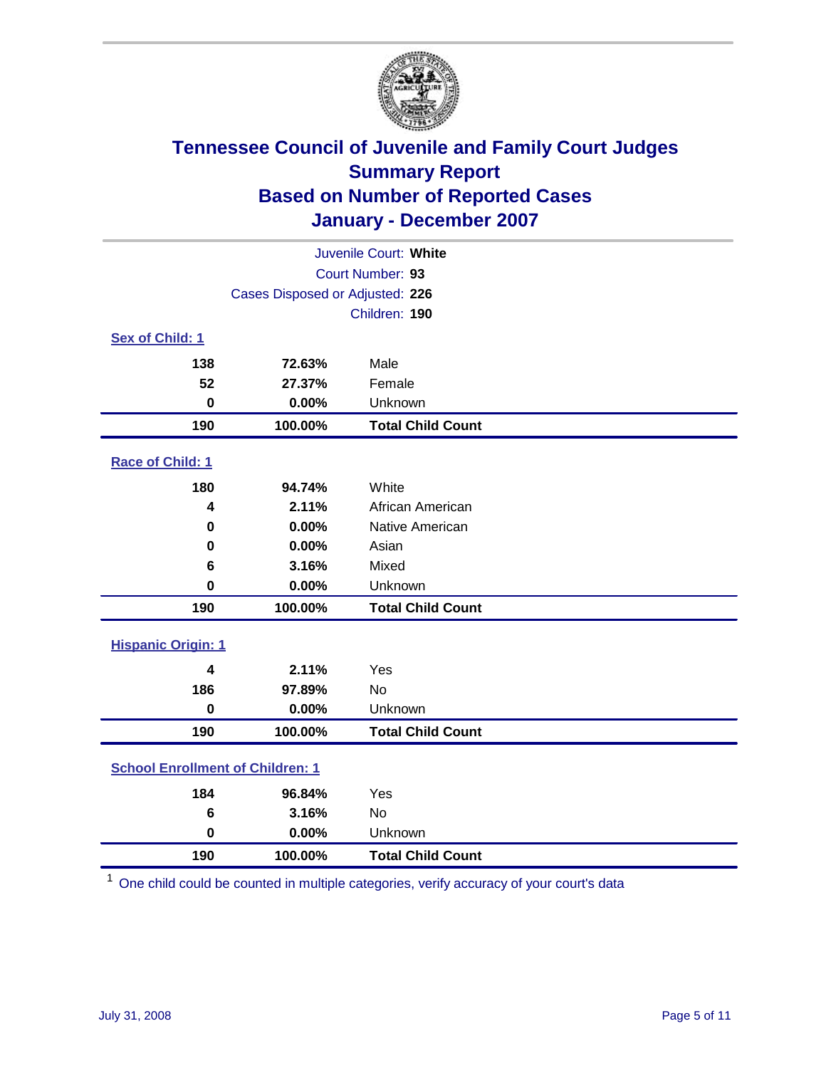

|                                         |                                 | Juvenile Court: White    |  |  |
|-----------------------------------------|---------------------------------|--------------------------|--|--|
| Court Number: 93                        |                                 |                          |  |  |
|                                         | Cases Disposed or Adjusted: 226 |                          |  |  |
|                                         |                                 | Children: 190            |  |  |
| Sex of Child: 1                         |                                 |                          |  |  |
| 138                                     | 72.63%                          | Male                     |  |  |
| 52                                      | 27.37%                          | Female                   |  |  |
| $\bf{0}$                                | 0.00%                           | Unknown                  |  |  |
| 190                                     | 100.00%                         | <b>Total Child Count</b> |  |  |
| <b>Race of Child: 1</b>                 |                                 |                          |  |  |
| 180                                     | 94.74%                          | White                    |  |  |
| 4                                       | 2.11%                           | African American         |  |  |
| 0                                       | 0.00%                           | Native American          |  |  |
| 0                                       | 0.00%                           | Asian                    |  |  |
| 6                                       | 3.16%                           | Mixed                    |  |  |
| $\bf{0}$                                | 0.00%                           | Unknown                  |  |  |
| 190                                     | 100.00%                         | <b>Total Child Count</b> |  |  |
| <b>Hispanic Origin: 1</b>               |                                 |                          |  |  |
| 4                                       | 2.11%                           | Yes                      |  |  |
| 186                                     | 97.89%                          | <b>No</b>                |  |  |
| $\mathbf 0$                             | 0.00%                           | Unknown                  |  |  |
| 190                                     | 100.00%                         | <b>Total Child Count</b> |  |  |
| <b>School Enrollment of Children: 1</b> |                                 |                          |  |  |
| 184                                     | 96.84%                          | Yes                      |  |  |
| 6                                       | 3.16%                           | No                       |  |  |
| $\bf{0}$                                | 0.00%                           | Unknown                  |  |  |
| 190                                     | 100.00%                         | <b>Total Child Count</b> |  |  |

One child could be counted in multiple categories, verify accuracy of your court's data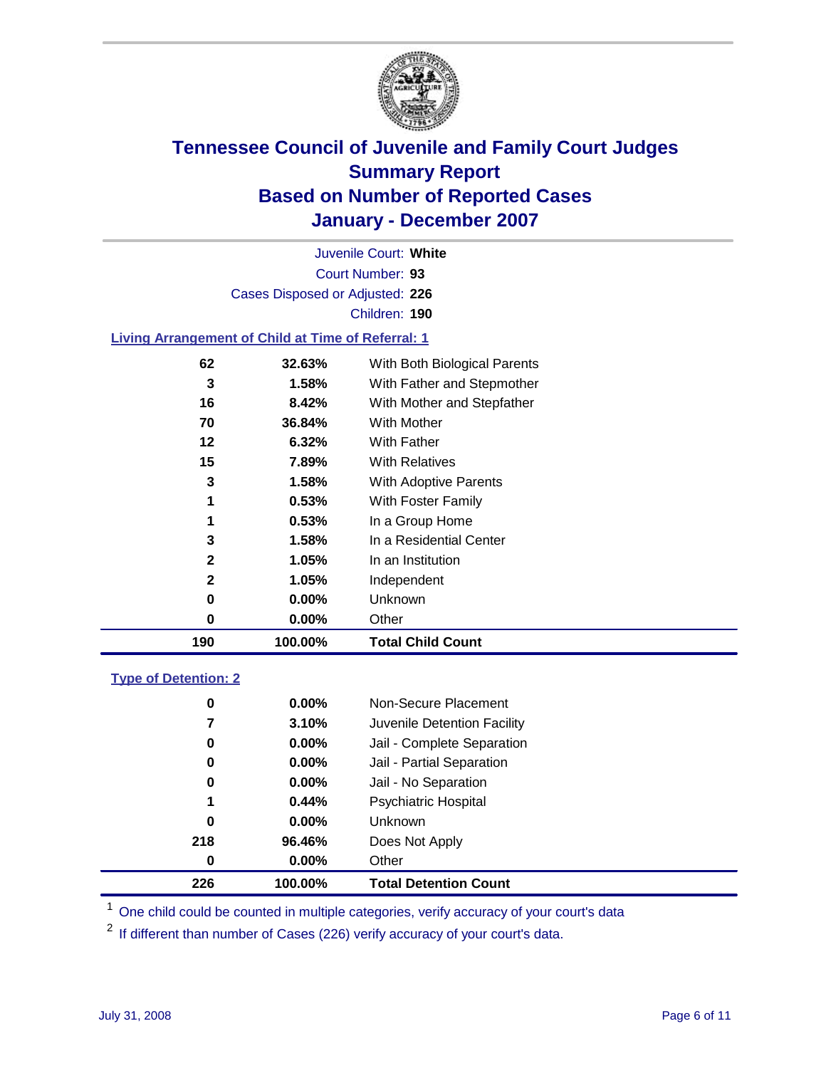

Court Number: **93** Juvenile Court: **White** Cases Disposed or Adjusted: **226** Children: **190**

#### **Living Arrangement of Child at Time of Referral: 1**

| 190 | 100.00%  | <b>Total Child Count</b>     |
|-----|----------|------------------------------|
| 0   | 0.00%    | Other                        |
| 0   | $0.00\%$ | Unknown                      |
| 2   | $1.05\%$ | Independent                  |
| 2   | 1.05%    | In an Institution            |
| 3   | 1.58%    | In a Residential Center      |
| 1   | 0.53%    | In a Group Home              |
| 1   | $0.53\%$ | With Foster Family           |
| 3   | 1.58%    | With Adoptive Parents        |
| 15  | 7.89%    | <b>With Relatives</b>        |
| 12  | 6.32%    | <b>With Father</b>           |
| 70  | 36.84%   | With Mother                  |
| 16  | 8.42%    | With Mother and Stepfather   |
| 3   | 1.58%    | With Father and Stepmother   |
| 62  | 32.63%   | With Both Biological Parents |
|     |          |                              |

#### **Type of Detention: 2**

| 226 | 100.00%  | <b>Total Detention Count</b> |  |
|-----|----------|------------------------------|--|
| 0   | 0.00%    | Other                        |  |
| 218 | 96.46%   | Does Not Apply               |  |
| 0   | $0.00\%$ | <b>Unknown</b>               |  |
| 1   | 0.44%    | Psychiatric Hospital         |  |
| 0   | $0.00\%$ | Jail - No Separation         |  |
| 0   | $0.00\%$ | Jail - Partial Separation    |  |
| 0   | $0.00\%$ | Jail - Complete Separation   |  |
| 7   | 3.10%    | Juvenile Detention Facility  |  |
| 0   | $0.00\%$ | Non-Secure Placement         |  |
|     |          |                              |  |

<sup>1</sup> One child could be counted in multiple categories, verify accuracy of your court's data

<sup>2</sup> If different than number of Cases (226) verify accuracy of your court's data.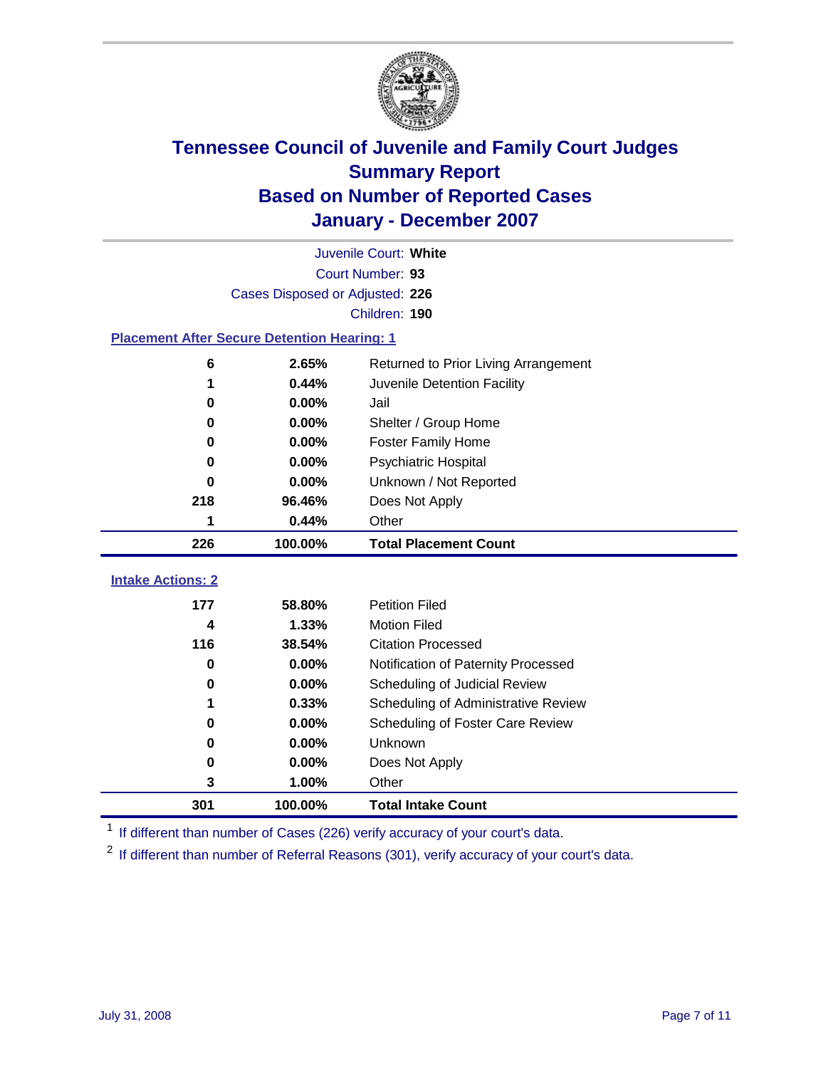

|                                                    |          | Juvenile Court: White                |  |  |
|----------------------------------------------------|----------|--------------------------------------|--|--|
| Court Number: 93                                   |          |                                      |  |  |
| Cases Disposed or Adjusted: 226                    |          |                                      |  |  |
| Children: 190                                      |          |                                      |  |  |
| <b>Placement After Secure Detention Hearing: 1</b> |          |                                      |  |  |
| 6                                                  | 2.65%    | Returned to Prior Living Arrangement |  |  |
| 1                                                  | 0.44%    | Juvenile Detention Facility          |  |  |
| 0                                                  | 0.00%    | Jail                                 |  |  |
| 0                                                  | 0.00%    | Shelter / Group Home                 |  |  |
| 0                                                  | 0.00%    | <b>Foster Family Home</b>            |  |  |
| 0                                                  | 0.00%    | Psychiatric Hospital                 |  |  |
| 0                                                  | 0.00%    | Unknown / Not Reported               |  |  |
| 218                                                | 96.46%   | Does Not Apply                       |  |  |
| 1                                                  | 0.44%    | Other                                |  |  |
| 226                                                | 100.00%  | <b>Total Placement Count</b>         |  |  |
| <b>Intake Actions: 2</b>                           |          |                                      |  |  |
| 177                                                | 58.80%   | <b>Petition Filed</b>                |  |  |
| 4                                                  | 1.33%    | <b>Motion Filed</b>                  |  |  |
| 116                                                | 38.54%   | <b>Citation Processed</b>            |  |  |
| 0                                                  | 0.00%    | Notification of Paternity Processed  |  |  |
| 0                                                  | $0.00\%$ | Scheduling of Judicial Review        |  |  |
| 1                                                  | 0.33%    | Scheduling of Administrative Review  |  |  |
| 0                                                  | 0.00%    | Scheduling of Foster Care Review     |  |  |
| 0                                                  | 0.00%    | Unknown                              |  |  |
| 0                                                  | 0.00%    | Does Not Apply                       |  |  |
| 3                                                  | 1.00%    | Other                                |  |  |
| 301                                                | 100.00%  | <b>Total Intake Count</b>            |  |  |

<sup>1</sup> If different than number of Cases (226) verify accuracy of your court's data.

<sup>2</sup> If different than number of Referral Reasons (301), verify accuracy of your court's data.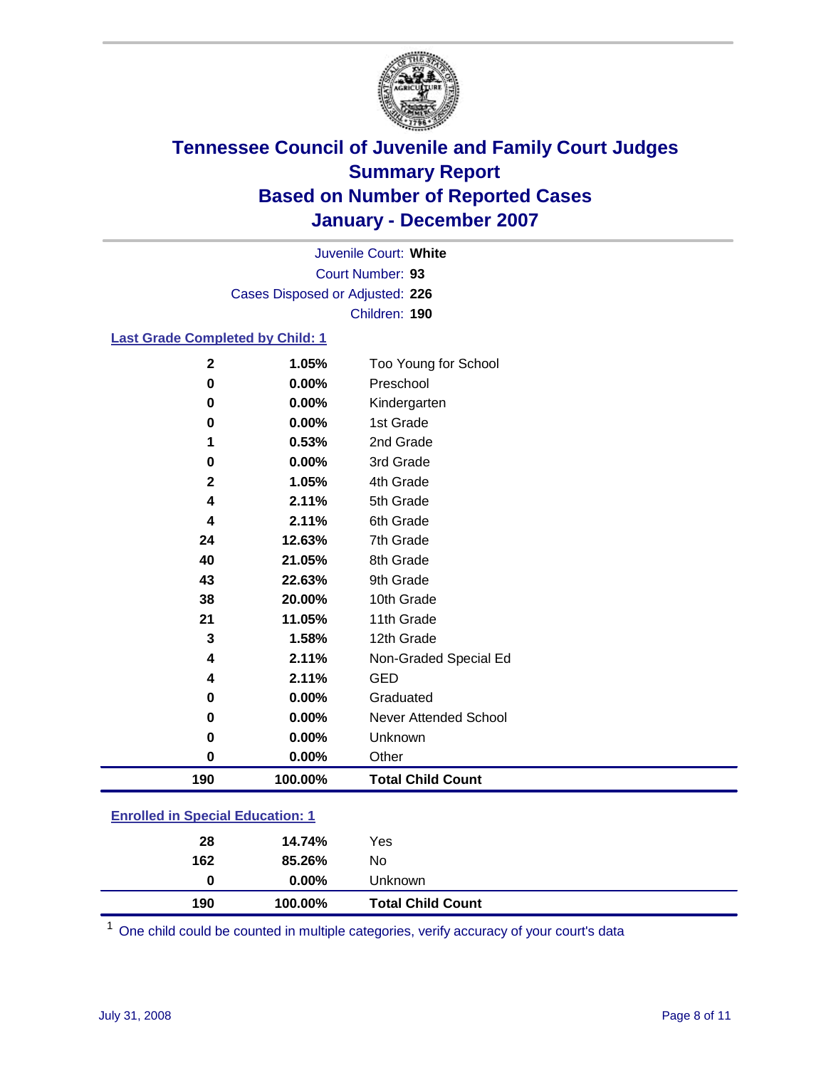

Court Number: **93** Juvenile Court: **White** Cases Disposed or Adjusted: **226** Children: **190**

#### **Last Grade Completed by Child: 1**

| 190         | 100.00% | <b>Total Child Count</b> |
|-------------|---------|--------------------------|
| 0           | 0.00%   | Other                    |
| 0           | 0.00%   | Unknown                  |
| 0           | 0.00%   | Never Attended School    |
| 0           | 0.00%   | Graduated                |
| 4           | 2.11%   | <b>GED</b>               |
| 4           | 2.11%   | Non-Graded Special Ed    |
| 3           | 1.58%   | 12th Grade               |
| 21          | 11.05%  | 11th Grade               |
| 38          | 20.00%  | 10th Grade               |
| 43          | 22.63%  | 9th Grade                |
| 40          | 21.05%  | 8th Grade                |
| 24          | 12.63%  | 7th Grade                |
| 4           | 2.11%   | 6th Grade                |
| 4           | 2.11%   | 5th Grade                |
| $\mathbf 2$ | 1.05%   | 4th Grade                |
| 0           | 0.00%   | 3rd Grade                |
| 1           | 0.53%   | 2nd Grade                |
| 0           | 0.00%   | 1st Grade                |
| 0           | 0.00%   | Kindergarten             |
| 0           | 0.00%   | Preschool                |
| $\mathbf 2$ | 1.05%   | Too Young for School     |

### **Enrolled in Special Education: 1**

| 190 | 100.00%  | <b>Total Child Count</b> |  |
|-----|----------|--------------------------|--|
| 0   | $0.00\%$ | Unknown                  |  |
| 162 | 85.26%   | No                       |  |
| 28  | 14.74%   | Yes                      |  |
|     |          |                          |  |

<sup>1</sup> One child could be counted in multiple categories, verify accuracy of your court's data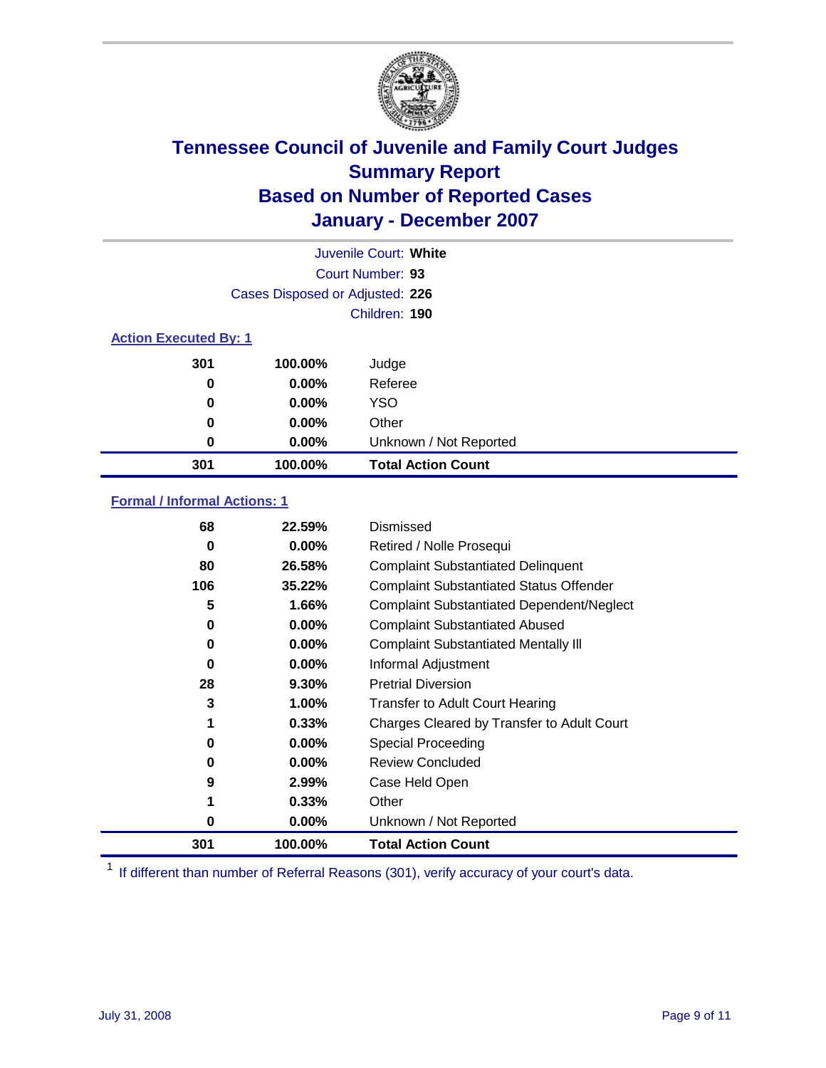

|                              |                                 | Juvenile Court: White     |  |  |
|------------------------------|---------------------------------|---------------------------|--|--|
|                              | Court Number: 93                |                           |  |  |
|                              | Cases Disposed or Adjusted: 226 |                           |  |  |
|                              |                                 | Children: 190             |  |  |
| <b>Action Executed By: 1</b> |                                 |                           |  |  |
| 301                          | 100.00%                         | Judge                     |  |  |
| 0                            | $0.00\%$                        | Referee                   |  |  |
| 0                            | $0.00\%$                        | <b>YSO</b>                |  |  |
| 0                            | $0.00\%$                        | Other                     |  |  |
| 0                            | $0.00\%$                        | Unknown / Not Reported    |  |  |
| 301                          | 100.00%                         | <b>Total Action Count</b> |  |  |

### **Formal / Informal Actions: 1**

| 68  | 22.59%   | Dismissed                                        |
|-----|----------|--------------------------------------------------|
| 0   | $0.00\%$ | Retired / Nolle Prosequi                         |
| 80  | 26.58%   | <b>Complaint Substantiated Delinquent</b>        |
| 106 | 35.22%   | <b>Complaint Substantiated Status Offender</b>   |
| 5   | 1.66%    | <b>Complaint Substantiated Dependent/Neglect</b> |
| 0   | $0.00\%$ | <b>Complaint Substantiated Abused</b>            |
| 0   | $0.00\%$ | <b>Complaint Substantiated Mentally III</b>      |
| 0   | $0.00\%$ | Informal Adjustment                              |
| 28  | $9.30\%$ | <b>Pretrial Diversion</b>                        |
| 3   | 1.00%    | <b>Transfer to Adult Court Hearing</b>           |
|     | 0.33%    | Charges Cleared by Transfer to Adult Court       |
| 0   | $0.00\%$ | Special Proceeding                               |
| 0   | $0.00\%$ | <b>Review Concluded</b>                          |
| 9   | 2.99%    | Case Held Open                                   |
| 1   | 0.33%    | Other                                            |
| 0   | 0.00%    | Unknown / Not Reported                           |
| 301 | 100.00%  | <b>Total Action Count</b>                        |

<sup>1</sup> If different than number of Referral Reasons (301), verify accuracy of your court's data.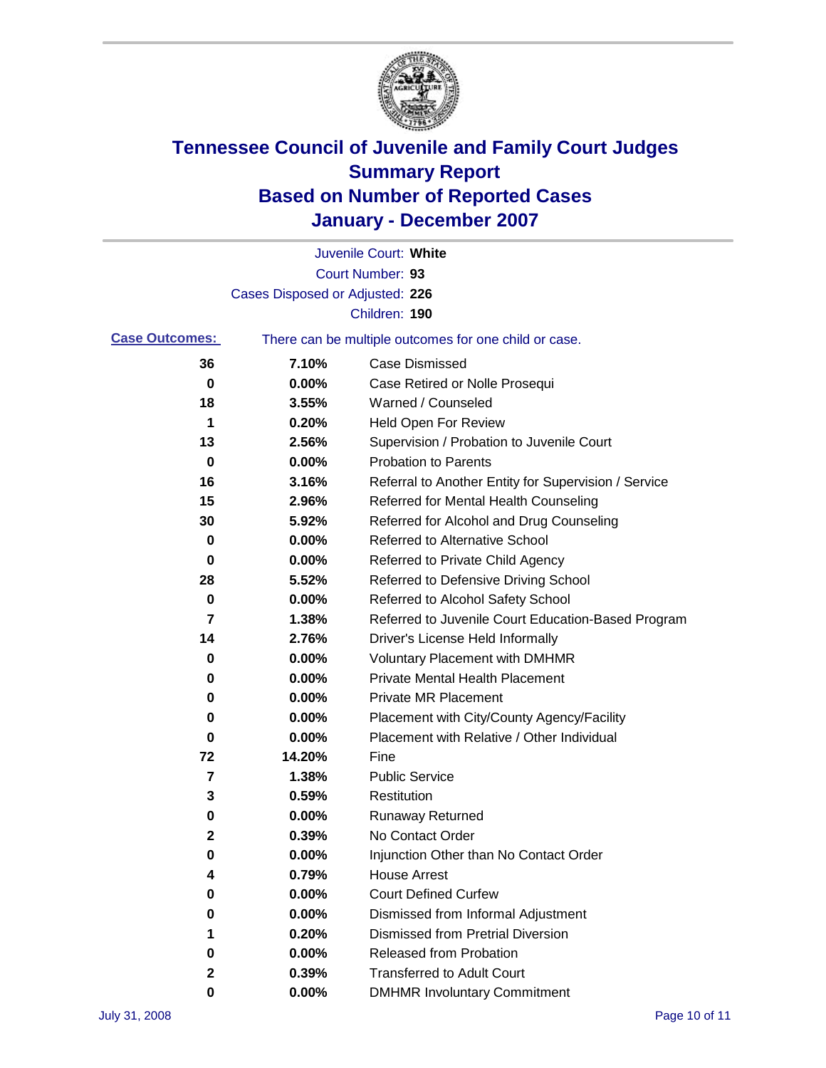

|                       |                                 | Juvenile Court: White                                 |
|-----------------------|---------------------------------|-------------------------------------------------------|
|                       |                                 | Court Number: 93                                      |
|                       | Cases Disposed or Adjusted: 226 |                                                       |
|                       |                                 | Children: 190                                         |
| <b>Case Outcomes:</b> |                                 | There can be multiple outcomes for one child or case. |
| 36                    | 7.10%                           | <b>Case Dismissed</b>                                 |
| 0                     | 0.00%                           | Case Retired or Nolle Prosequi                        |
| 18                    | 3.55%                           | Warned / Counseled                                    |
| 1                     | 0.20%                           | <b>Held Open For Review</b>                           |
| 13                    | 2.56%                           | Supervision / Probation to Juvenile Court             |
| 0                     | 0.00%                           | <b>Probation to Parents</b>                           |
| 16                    | 3.16%                           | Referral to Another Entity for Supervision / Service  |
| 15                    | 2.96%                           | Referred for Mental Health Counseling                 |
| 30                    | 5.92%                           | Referred for Alcohol and Drug Counseling              |
| 0                     | 0.00%                           | Referred to Alternative School                        |
| 0                     | 0.00%                           | Referred to Private Child Agency                      |
| 28                    | 5.52%                           | Referred to Defensive Driving School                  |
| 0                     | 0.00%                           | Referred to Alcohol Safety School                     |
| 7                     | 1.38%                           | Referred to Juvenile Court Education-Based Program    |
| 14                    | 2.76%                           | Driver's License Held Informally                      |
| 0                     | 0.00%                           | <b>Voluntary Placement with DMHMR</b>                 |
| 0                     | 0.00%                           | <b>Private Mental Health Placement</b>                |
| 0                     | 0.00%                           | <b>Private MR Placement</b>                           |
| 0                     | 0.00%                           | Placement with City/County Agency/Facility            |
| 0                     | 0.00%                           | Placement with Relative / Other Individual            |
| 72                    | 14.20%                          | Fine                                                  |
| 7                     | 1.38%                           | <b>Public Service</b>                                 |
| 3                     | 0.59%                           | Restitution                                           |
| 0                     | 0.00%                           | <b>Runaway Returned</b>                               |
| 2                     | 0.39%                           | No Contact Order                                      |
| 0                     | 0.00%                           | Injunction Other than No Contact Order                |
|                       | 0.79%                           | <b>House Arrest</b>                                   |
| 0                     | 0.00%                           | <b>Court Defined Curfew</b>                           |
| 0                     | 0.00%                           | Dismissed from Informal Adjustment                    |
| 1                     | 0.20%                           | <b>Dismissed from Pretrial Diversion</b>              |
| 0                     | 0.00%                           | <b>Released from Probation</b>                        |
| 2                     | 0.39%                           | <b>Transferred to Adult Court</b>                     |
| 0                     | $0.00\%$                        | <b>DMHMR Involuntary Commitment</b>                   |